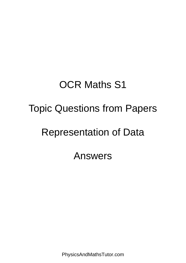## OCR Maths S1 Topic Questions from Papers Representation of Data Answers

PhysicsAndMathsTutor.com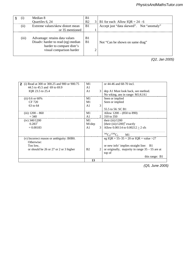| $\left( 1\right)$ | Median 8                                                                                                                               | physicsandmathstutor.com |   |                                          |  |  |
|-------------------|----------------------------------------------------------------------------------------------------------------------------------------|--------------------------|---|------------------------------------------|--|--|
|                   | Quartiles 6, 24                                                                                                                        | B <sub>2</sub>           |   | B1 for each Allow $IQR = 24 - 6$         |  |  |
| $\rm (ii)$        | Extreme values/skew distort mean                                                                                                       | B <sub>1</sub>           |   | Accept just "data skewed". Not "anomaly" |  |  |
|                   | or 35 mentioned                                                                                                                        |                          |   |                                          |  |  |
| (iii)             | Advantage: <i>x</i> retains data values<br>Disadv: harder to read (eg) median<br>harder to compare distr's<br>visual comparison harder | B1<br><b>B</b> 1         | ⌒ | Not "Can be shown on same diag"          |  |  |

*(Q2, Jan 2005)*

|                                                             | 13             |   |                                                   |
|-------------------------------------------------------------|----------------|---|---------------------------------------------------|
|                                                             |                |   | this range: B1                                    |
|                                                             |                |   | top of                                            |
| or should be 26 or 27 or 2 or 3 higher                      | B <sub>2</sub> |   | or originally, majority in range $35 - 55$ are at |
| Too low,                                                    |                |   | or new info' implies straight line: B1            |
| Otherwise:                                                  |                |   |                                                   |
| (v) Incorrect reason or ambiguity: B0B0.                    |                |   | eg IQR = $55-35 = 20$ or IQR = value >27          |
|                                                             |                |   | $^{340}C_5/^{1200}C_5$ M1                         |
|                                                             |                |   |                                                   |
| $= 0.00183$                                                 | A <sub>1</sub> |   | Allow $0.00114$ to $0.00212 > 2$ sfs              |
| $0.283^{5}$                                                 | M1dep          |   | [their (iii)/1200] <sup>5</sup> exactly           |
| $(iv)$ 340/1200                                             | M1             |   | their (iii)/1200 $\Sigma$ $\mu$                   |
| $= 340$                                                     | A <sub>1</sub> |   | 2 310 to 350                                      |
| $(iii)$ 1200 – 860                                          | M1             |   | Allow $1200 - (850 \text{ to } 890)$              |
|                                                             |                |   | 55.5 to 56: SC B1                                 |
| 63 to 64                                                    | A1             |   |                                                   |
| CF 720                                                      | M1             |   | Seen or implied                                   |
| $(ii)$ 0.6 or 60%                                           | M <sub>1</sub> |   | Seen or implied                                   |
|                                                             |                |   | No wking, ans in range: M1A1A1                    |
| IQR 23.5 to 25.4                                            | A <sub>1</sub> | 3 | dep A1 Must look back, see method.                |
| 44.5 to 45.5 and 69 to 69.9                                 | A <sub>1</sub> |   |                                                   |
| (i) Read at 300 or 300.25 and 900 or 900.75<br>$\mathbf{2}$ | M1             |   | or 44-46 and 68-70 incl.                          |

(iv) *Σx*<sub>p(</sub>*x*) ÷ *Σ*p(*x*) ÷ *Σ*p(*x*) ÷ *Σ*p(*x*) ÷ *Σp(x)* ÷ *Σp(x)* ÷ *Σp(x)* ÷ *Σp(x)* ÷ *Σp(x)* ÷ *Σp(x)* ÷

B1 { another pair : B1B1 *(Q5, June 2005)*

÷ 4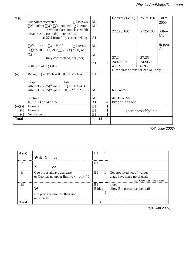| 3(i)         | Midpoints attempted<br>$>$ 2 classes                                                                                        | M1             |    | Correct (149.5)                              | <u>With 150</u>       | $Tot =$        |
|--------------|-----------------------------------------------------------------------------------------------------------------------------|----------------|----|----------------------------------------------|-----------------------|----------------|
|              | $\sum x f / 100$ or $\sum x f / \sum f$ attempted $\geq 2$ terms                                                            | M1             |    |                                              |                       | 2000           |
|              | $x$ within class, not class width<br>Mean = 27.2 (to 3 sfs) (not 27.25)                                                     |                |    | 2720.5/100                                   | 2725/100              | Allow          |
|              | art 27.2 from fully correct wire and mathstutor.com                                                                         |                |    |                                              |                       | Ms             |
|              | $\sum x^2 f$ or $\sum x - \overline{x}^2 f$ $\geq 2$ terms<br>$\sqrt{(x^2 + 100 - x^2)}$ or $\sqrt{((x - x^2)^2 + 100)}$ or | M1             |    |                                              |                       | $&$ poss<br>As |
|              | $\sum f$<br>fully corr method, not $\sqrt{neg}$                                                                             | M1             |    | 27.2                                         | 27.25                 |                |
|              |                                                                                                                             | A <sub>1</sub> |    | 240702.25                                    | 242050                |                |
|              | $=$ 40.5 to 41.1 (3 sfs)                                                                                                    |                |    | .40.82<br>allow class widths for 2nd M1 only | 40.96                 |                |
| (ii)         | Recog LQ in 1 <sup>st</sup> class $&$ UQ in 3 <sup>rd</sup> class                                                           | B1             |    |                                              |                       |                |
|              | Graph:<br><u>Interp:</u>                                                                                                    |                |    |                                              |                       |                |
|              | Attempt 25(.25) <sup>th</sup> value $LQ = 3.0$ to 4.3                                                                       |                |    |                                              |                       |                |
|              | Attempt 75(.75) <sup>th</sup> value UQ = 27 to 29                                                                           | M1             |    | both nec'y                                   |                       |                |
|              | Subtract                                                                                                                    | M1             |    | dep B1or M1                                  |                       |                |
|              | $IQR = 23$ or 24 or 25                                                                                                      | A <sub>1</sub> | 4  | integer. dep M2                              |                       |                |
| (iii)(a)     | Increase                                                                                                                    | B1             | 1  |                                              |                       |                |
| (b)          | Increase                                                                                                                    | B1             | 1  |                                              | Ignore "probably" etc |                |
| (c)          | No change                                                                                                                   | B1             |    |                                              |                       |                |
| <b>Total</b> |                                                                                                                             |                | 13 |                                              |                       |                |
|              |                                                                                                                             |                |    |                                              |                       |                |

B1 **2** In context. Not "events,. trials, outcomes" . Ignore *(Q7, June 2006)*

| 4 (ia)        |                                               | B <sub>1</sub> |                                |
|---------------|-----------------------------------------------|----------------|--------------------------------|
|               | W & Y<br>oe                                   |                |                                |
| $\mathbf b$   |                                               | B <sub>1</sub> |                                |
|               | $\mathbf X$<br>$\boldsymbol{\theta}$          |                |                                |
| $\mathbf{ii}$ | Geo probs always decrease                     | B1             | Geo not fixed no. of values    |
|               | or Geo has no upper limit to x or $x \neq 0$  |                | diags have fixed no of trials  |
|               |                                               |                | not Geo has +ve skew           |
| iii           |                                               | B <sub>1</sub> | indep                          |
|               | W                                             | B1dep          | allow Bin probs rise then fall |
|               | Bin probs cannot fall then rise<br>or bimodal |                |                                |
| <b>Total</b>  |                                               | 5              |                                |

Allow figs rounded to 2 sfs for M1M1 Correct sub in any correct formula for *b (Q4, Jan 2007)*

 $3500$  8x17 5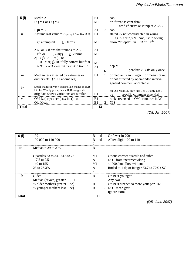| 5 (i)         | $Med = 2$<br>$LQ = 1$ or $UQ = 4$                                                               | B1<br>M1       |   | cao<br>or if treat as cont data:                                                            |
|---------------|-------------------------------------------------------------------------------------------------|----------------|---|---------------------------------------------------------------------------------------------|
|               | $IQR = 3$                                                                                       | A1             | 3 | read of curve or interp at 25 & 75<br>cao                                                   |
| $\mathbf{ii}$ | Assume last value $= 7$ (or eg 7.5 or 8 or 8.5)                                                 | B1             |   | stated, & not contradicted in wking<br>eg $7-9$ or $7,8,9$ Not just in wking                |
|               | <i>xf</i> attempted $\geq$ 5 terms                                                              | M <sub>1</sub> |   | allow "midpts" in xf or $x^2f$                                                              |
|               | 2.6 or 3 sf ans that rounds to 2.6                                                              | A <sub>1</sub> |   |                                                                                             |
|               | $x^2 f$ or $(x-m)^2 f \ge 5$ terms<br>$\sqrt{(x^2f/100-m^2)}$ or                                | M <sub>1</sub> |   |                                                                                             |
|               | $\sqrt{(x-m)^2}f$ /100 fully correct but ft <i>m</i>                                            | M <sub>1</sub> |   |                                                                                             |
|               | 1.6 or 1.7 or 3 sf ans that rounds to 1.6 or 1.7                                                | A1             | 6 | dep M3<br>$penalize > 3$ sfs only once                                                      |
| iii           | Median less affected by extremes or<br>outliers etc (NOT anomalies)                             | B1             | 1 | or median is an integer or mean not int.                                                    |
|               |                                                                                                 |                |   | or not affected by open-ended interval<br>general comment acceptable                        |
| iv            | Small change in var'n leads to lge change in IQR<br>UQ for W only just 4, hence IQR exaggerated |                |   |                                                                                             |
|               | orig data shows variations are similar                                                          | <b>B</b> 1     | 1 | for Old Moat LQ only just 1 & UQ only just 3<br>specific comment essential<br><sub>oe</sub> |
| $\mathbf{V}$  | OM % (or y) decr (as x incr) oe                                                                 | B1             |   | ranks reversed in OM or not rev in W                                                        |
|               | Old Moat                                                                                        | B1             | 2 | <b>NIS</b>                                                                                  |
| <b>Total</b>  |                                                                                                 | 13             |   |                                                                                             |

physicsandmathstutor.com

*(Q8, Jan 2007)*

| 6 (i)        | 1991                            | B1 ind              | Or fewer in 2001                           |
|--------------|---------------------------------|---------------------|--------------------------------------------|
|              | 100 000 to 110 000              | B1 ind              | Allow digits 100 to 110                    |
|              |                                 | 2                   |                                            |
| iia          | Median = 29 to 29.9             | B <sub>1</sub>      |                                            |
|              |                                 |                     |                                            |
|              | Quartiles 33 to 34, 24.5 to 26  | M1                  | Or one correct quartile and subtr          |
|              | $= 7.5$ to 9.5                  | A <sub>1</sub>      | NOT from incorrect wking                   |
|              | 140 to 155                      | M1                  | $\times$ 1000, but allow without           |
|              | 23 to 26.3%                     | A <sub>1</sub>      | Rnded to 1 dp or integer 73.7 to 77% : SC1 |
|              |                                 | 5                   |                                            |
| $\mathbf b$  | Older                           | B <sub>1</sub>      | Or 1991 younger                            |
|              | Median (or ave) greater         |                     | Any two                                    |
|              | % older mothers greater<br>oe } | B1                  | Or 1991 steeper so more younger: B2        |
|              | % younger mothers less<br>oe    | B <sub>1</sub><br>3 | NOT mean gter                              |
|              |                                 |                     | Ignore extra                               |
| <b>Total</b> |                                 | 10                  |                                            |

*(Q5, June 2007)*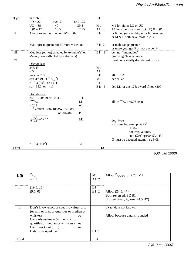| 7(i)                    | $m = 26.5$                                             |                                                          |                | B1                           |                                                                   |
|-------------------------|--------------------------------------------------------|----------------------------------------------------------|----------------|------------------------------|-------------------------------------------------------------------|
|                         | $LQ = 22$                                              | or 21.5                                                  | or 21.75       |                              |                                                                   |
|                         | $UQ = 39$                                              | 40                                                       | 39.5           | M1                           | M1 for either LQ or UQ                                            |
|                         | $IQR = 17$                                             | 18.5                                                     | 17.75          | $A1 \quad 3$                 | A1 must be consistent LQ, UQ & IQR                                |
| $\overline{\mathbf{u}}$ |                                                        | Ave or overall or med or "it" similar                    |                | B <sub>1f</sub>              | or F med (or ave) higher or F mean less                           |
|                         |                                                        |                                                          |                |                              | or M & F both have most in 20s                                    |
|                         |                                                        |                                                          |                |                              |                                                                   |
|                         |                                                        | Male spread greater or M more varied oe                  |                | B <sub>1f</sub> <sub>2</sub> | or male range greater                                             |
|                         |                                                        |                                                          |                |                              | or more younger F or more older M                                 |
| iii                     |                                                        | Med less (or not) affected by extreme(s) or              |                | <b>B1</b> 1                  | oe; not "anomalies"                                               |
|                         |                                                        | Mean (more) affected by extreme(s)                       |                |                              | ignore eg "less accurate"                                         |
| iv                      |                                                        |                                                          |                |                              | must consistently decode last or first                            |
|                         | Decode last                                            |                                                          |                |                              |                                                                   |
|                         | 245/49                                                 |                                                          |                | M1                           |                                                                   |
|                         | $= 5$                                                  |                                                          |                | A1                           |                                                                   |
|                         | $mean = 205$                                           |                                                          |                | B <sub>1f</sub>              | $200 + "5"$                                                       |
|                         | $\sqrt{(9849/49 - (245 / 49)^2)}$                      |                                                          |                | M1                           | $dep \sqrt{+ve}$                                                  |
|                         | $= 13.3$ (3sfs) or $4\sqrt{11}$                        |                                                          |                | A1                           |                                                                   |
|                         | $sd = 13.3$ or $4\sqrt{11}$                            |                                                          |                |                              | physicsandmathstyte proof dep M1 or ans 176; award if not +200    |
|                         |                                                        |                                                          |                |                              |                                                                   |
|                         | Decode first                                           |                                                          |                |                              |                                                                   |
|                         | $245 + 200 \times 49$ or 10045<br>$\frac{10045}{49}$   |                                                          | B1             |                              |                                                                   |
|                         |                                                        |                                                          | M1             |                              | allow $\frac{445}{49}$ or 9.08 seen                               |
|                         | $= 205$                                                |                                                          | A1             |                              |                                                                   |
|                         |                                                        | $\Sigma x^2 = 9849 + 400 \times 10045 - 49 \times 40000$ |                |                              |                                                                   |
|                         |                                                        | or 2067849                                               | B1             |                              |                                                                   |
|                         | $\frac{\nu \Sigma x^{2n}}{49} - \nu \overline{x}^{2n}$ |                                                          | M1             |                              |                                                                   |
|                         |                                                        |                                                          |                |                              | $dep \sqrt{+ve}$<br>$\Sigma x^2$ must be: attempt at $\Sigma x^2$ |
|                         |                                                        |                                                          |                |                              | >9849                                                             |
|                         |                                                        |                                                          |                |                              | not involve $9849^2$                                              |
|                         |                                                        |                                                          |                |                              | not $(\Sigma x)^2$ eg10045 <sup>2</sup> , 445 <sup>2</sup>        |
|                         |                                                        |                                                          |                |                              | $\bar{x}$ must be decoded attempt, eg 9.08                        |
|                         | $= 13.3$ or $4\sqrt{11}$                               |                                                          |                |                              |                                                                   |
| <b>Total</b>            |                                                        |                                                          | A <sub>1</sub> | 12                           |                                                                   |
|                         |                                                        |                                                          |                |                              | $\sqrt{2}$                                                        |

B1 1 In context. Not *x* is controlled or indep *(Q8, Jan 2008)*

| 8(i)          | $\frac{25}{10}$<br>$= 2.5$                                                                                                                                                                                                                                                         | M1<br>A1 2        | Allow $\frac{25}{(9610)}$ or 2.78: M1                                           |
|---------------|------------------------------------------------------------------------------------------------------------------------------------------------------------------------------------------------------------------------------------------------------------------------------------|-------------------|---------------------------------------------------------------------------------|
| $\mathbf{ii}$ | (19.5, 25)<br>(9.5, 0)                                                                                                                                                                                                                                                             | B1<br><b>B1</b> 2 | Allow (24.5, 47)<br>Both reversed: SC B1<br>If three given, ignore $(24.5, 47)$ |
| iii           | Don't know exact or specific values of $x$<br>(or min or max or quartiles or median or<br>whiskers).<br><sub>oe</sub><br>Can only estimate (min or max or<br>quartiles or median or whiskers)<br><sub>oe</sub><br>Can't work out $(\ldots)$<br><sub>oe</sub><br>Data is grouped oe | <b>B1</b> 1       | Exact data not known<br>Allow because data is rounded                           |
| Total         |                                                                                                                                                                                                                                                                                    | 5                 |                                                                                 |

*(Q5, June 2009)*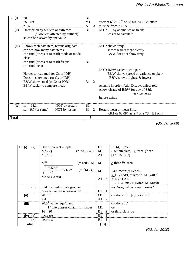| 9 | (i)          | 68                                                   | B1             |              |                                                             |
|---|--------------|------------------------------------------------------|----------------|--------------|-------------------------------------------------------------|
|   |              | $75 - 59$                                            | M <sub>1</sub> |              | attempt $6^{th}$ & 18 <sup>th</sup> or 58-60, 74-76 & subtr |
|   |              | $=16$                                                | $A1 \quad 3$   |              | must be from $75 - 59$                                      |
|   | (ii)         | Unaffected by outliers or extremes                   | <b>B1</b>      | <sup>1</sup> | NOT:  by anomalies or freaks                                |
|   |              | (allow less affected by outliers)                    |                |              | easier to calculate                                         |
|   |              | sd can be skewed by one value                        |                |              | physicsandmathstutor.com                                    |
|   |              |                                                      |                |              |                                                             |
|   | (iii)        | Shows each data item, retains orig data              |                |              | NOT: shows freqs                                            |
|   |              | can see how many data items                          |                |              | shows results more clearly                                  |
|   |              | can find (or easier to read) mode or modal           |                |              | B&W does not show freqs                                     |
|   |              | class                                                |                |              |                                                             |
|   |              | can find (or easier to read) frequs<br>can find mean | B <sub>1</sub> |              |                                                             |
|   |              |                                                      |                |              | NOT: B&W easier to compare                                  |
|   |              | Harder to read med (or Qs or IQR)                    |                |              | B&W shows spread or variance or skew                        |
|   |              | Doesn't show med (or Qs or IQR)                      |                |              | B&W shows highest & lowest                                  |
|   |              | B&W shows med (or Qs or IQR)                         | B1             | 2            |                                                             |
|   |              | B&W easier to compare meds                           |                |              | Assume in order: Adv, Disadv, unless told                   |
|   |              |                                                      |                |              | Allow disady of B&W for ady of S&L                          |
|   |              |                                                      |                |              | & vice versa                                                |
|   |              |                                                      |                |              | Ignore extras                                               |
|   |              |                                                      |                |              |                                                             |
|   | (iv)         | $m = 68.1$<br>NOT by restart                         | B1             |              |                                                             |
|   |              | NOT by restart<br>$sd = 9.7$ (or same)               | B <sub>1</sub> | 2            | Restart mean or mean & sd:                                  |
|   |              |                                                      |                |              | 68.1 or 68.087 & 9.7 or 9.73<br>B1 only                     |
|   | <b>Total</b> |                                                      | 8              |              |                                                             |

*(Q5, Jan 2009)* 1st B1 must be in context.

| 10(i)        | (a) | Use of correct midpts                                               | B1             |                | 11, 14, 18, 25. 5                                           |
|--------------|-----|---------------------------------------------------------------------|----------------|----------------|-------------------------------------------------------------|
|              |     | $(= 706 \div 40)$<br>$\Sigma f \div \Sigma f$                       | M1             |                | <i>l</i> within class, $\geq$ three <i>lf</i> seen          |
|              |     | $= 17.65$                                                           | A1             |                | [17.575, 17.7]                                              |
|              |     | $\Sigma l^2 f$<br>$(= 13050.5)$                                     | M1             |                | > three $l^2f$ seen                                         |
|              |     | $\sqrt{13050.5}$ " -"17.65" <sup>2</sup><br>$(=\sqrt{14.74})$<br>40 | M1             |                | $\div 40$ ,-mean <sup>2</sup> , $\sqrt{$ .Dep>0.            |
|              |     | $= 3.84 (3 \text{ sfs})$                                            |                |                | $\sum (1-17.65)^2$ f, at least 3 M1, $\div 40$ , $\sqrt{ }$ |
|              |     |                                                                     | A <sub>1</sub> | 6              | M1,3.84 A1.                                                 |
|              |     |                                                                     |                |                | $\div 4 \Rightarrow$ max B1M0A0M1M0A0                       |
|              | (b) | mid pts used or data grouped                                        |                |                | not "orig values were guesses"                              |
|              |     | or exact values unknown oe                                          | <b>B1</b> 1    |                |                                                             |
| (ii)         |     | $20 \div 5$                                                         | M1             |                | condone $20 \div [4,5]$ or ans 5                            |
|              |     | $=4$                                                                | $A1$ 2         |                |                                                             |
| (iii)        |     | $20.5th$ value requ'd and                                           |                |                | condone $20th$                                              |
|              |     | $1st$ two classes contain 14 values                                 | M1             |                | <sub>oe</sub>                                               |
|              |     | $16 - 20$                                                           | <b>B</b> 1     | 2              | or third class oe                                           |
| $(iv)$ $(a)$ |     | increase                                                            | B1             | $\overline{1}$ |                                                             |
|              | (b) | decrease                                                            | B <sub>1</sub> |                |                                                             |
| <b>Total</b> |     |                                                                     | $[13]$         |                |                                                             |

*(Q2, Jan 2010)*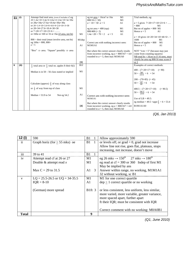|   | (i)  | Attempt find total area, (even if includes $a^2$ ) eg                    |                   | eg tot area = $16cm2$ or $16a$<br>M1           | Trial methods, eg:                                               |
|---|------|--------------------------------------------------------------------------|-------------------|------------------------------------------------|------------------------------------------------------------------|
|   |      | $20\times1.4a+10\times3.4a+6\times4.6a+4\times2.6a+10\times3a+30a$       |                   | $800/16 (= 50)$<br>M1                          |                                                                  |
|   |      | or $28a+34a+27.6a+10.4a+30a+30a$                                         |                   | $a \times 10 = 50$ $a = 5$<br>A1               | $a = 5$ gives $7 \times 20 + 17 \times 10 + 23 \times 6 + \dots$ |
|   |      | or $20\times1.4+10\times3.4+6\times4.6+4\times2.6+10\times3+30$          |                   |                                                | $= 800$<br>M1                                                    |
|   |      | or $28+34+27.6+10.4+30+30$                                               |                   | eg tot area $=$ 400 (sqs)<br>M1                | But no of apples $= 800$ M1                                      |
|   |      | or $7 \times 20 + 17 \times 10 + 23 \times 6 + \ldots$                   |                   | $800/400 (= 2)$<br>M1                          | Hence $a = 5$<br>A <sub>1</sub>                                  |
|   |      | or $160a$ or $160$ or $16$ or $16a$ (if area, not ht)                    | M1                | $1.4a \times 20 = 70 \times 2$ $a = 5$<br>A1   |                                                                  |
|   |      |                                                                          |                   |                                                | $a = 10$ gives $14 \times 20 + 34 \times 10 + 46 \times 6 +$ .   |
|   |      | $800 \div$ their total (must involve area, not ht)                       |                   |                                                | 1600                                                             |
|   |      | eg $160a = 800, 800 -$                                                   | M1dep             |                                                | M1                                                               |
|   |      |                                                                          |                   | Correct ans with nothing incorrect seen:       | But no of apples $= 800$<br>M1                                   |
|   |      | $a = 5$                                                                  | A <sub>1</sub>    | <b>M1M1A1</b>                                  | Hence $a = 5$<br>A <sub>1</sub>                                  |
|   |      |                                                                          |                   |                                                |                                                                  |
|   |      | "Box" $\Rightarrow$ area. "Square" possibly $\Rightarrow$ area           |                   | But where the correct answer clearly results   | NOT " $1cm = 5$ " (because may just                              |
|   |      |                                                                          |                   | from incorrect working, eg $a = 800/167 = 4.8$ | come from counting squares)                                      |
|   |      |                                                                          |                   | rounded to $a = 5$ , then max M1M1A0           | NB total $ht = 16cm$ so if 16 seen, must                         |
|   |      |                                                                          |                   |                                                | clearly be area eg $800/16$ may score 0                          |
|   |      |                                                                          | $\lceil 3 \rceil$ |                                                | or 2                                                             |
| 6 | (ii) | $\frac{1}{2}$ total area or $\frac{1}{2}$ total no. apples ft their 6(i) | B <sub>1f</sub>   |                                                | Examples of correct methods:                                     |
|   |      |                                                                          |                   |                                                |                                                                  |
|   |      | Median is in $50 - 56$ class stated or implied                           | M1                |                                                | $400 - (7 \times 20 + 17 \times 10)$ $(= 90)$                    |
|   |      |                                                                          |                   |                                                | $50 + \frac{90}{23\times6} \times 6 = 54$                        |
|   |      |                                                                          |                   |                                                |                                                                  |
|   |      |                                                                          |                   |                                                | $200 - (70 + 85) (= 45)$                                         |
|   |      |                                                                          |                   |                                                |                                                                  |
|   |      | Calculate (approx) $\frac{2}{3}$ of way along class                      |                   |                                                | $50 + \frac{45}{69} \times 6 = 54$                               |
|   |      |                                                                          | M1                |                                                |                                                                  |
|   |      | or $\frac{1}{3}$ of way from top of class                                |                   |                                                | $400.5 - (7 \times 20 + 17 \times 10)$<br>$(= 90.5)$             |
|   |      |                                                                          |                   |                                                | $50 + \frac{90.5}{23 \times 6} \times 6 = 54$                    |
|   |      | Median = $53.9$ to $54$<br>Not eg 54.2                                   | A <sub>1</sub>    | Correct ans with nothing incorrect seen:       |                                                                  |
|   |      |                                                                          |                   | M1M1A1                                         | Use of $LB = 49.5$ :                                             |
|   |      |                                                                          |                   |                                                |                                                                  |
|   |      |                                                                          |                   | But where the correct answer clearly results   | eg median = 49.5 +appr $\frac{2}{3} \times 6 = 53.4$             |
|   |      |                                                                          | [4]               | from incorrect working, eg $a = 800/167 = 4.8$ | B1M1A1A0                                                         |
|   |      |                                                                          |                   | rounded to $a = 5$ , then max M1M1A0           |                                                                  |

*(Q6, Jan 2013)*

physicsandmathstutor.com

| 12 (i)        | 590                                    | B1                    |   | Allow approximately 590                                                                                                                                                                                                      |
|---------------|----------------------------------------|-----------------------|---|------------------------------------------------------------------------------------------------------------------------------------------------------------------------------------------------------------------------------|
| $\mathbf{ii}$ | Graph horiz (for $\geq$ 55 mks) oe     | <b>B1</b> 1           |   | or levels off, or $grad = 0$ , $grad$ not increase                                                                                                                                                                           |
|               |                                        |                       |   | Allow line not rise, goes flat, plateaus, stops                                                                                                                                                                              |
|               |                                        |                       |   | increasing, not increase, doesn't move                                                                                                                                                                                       |
| iii           | 39 to 41                               | <b>B1</b> 1           |   |                                                                                                                                                                                                                              |
| iv            | Attempt read cf at 26 or 27            | M1                    |   | eg 26 mks $\rightarrow$ 150 <sup>th</sup> 27 mks $\rightarrow$ 180 <sup>th</sup>                                                                                                                                             |
|               | Double $&$ attempt read $x$            | M1                    |   | eg read at cf = 300 or 360 Indep of first M1                                                                                                                                                                                 |
|               |                                        |                       |   | May be implied by ans                                                                                                                                                                                                        |
|               | Max $C = 29$ to 31.5                   | A1                    | 3 | Answer within range, no working, M1M1A1                                                                                                                                                                                      |
|               |                                        |                       |   | 32 without working, sc B1                                                                                                                                                                                                    |
| $\mathbf{V}$  | $LQ = 25.5 - 26.5$ or $UQ = 34 - 35.5$ | M1                    |   | M1 for one correct quartile                                                                                                                                                                                                  |
|               | $IQR = 8-10$                           | A1                    |   | $dep \ge 1$ correct quartile or no working                                                                                                                                                                                   |
|               | (German) more spread                   | B <sub>1</sub> ft $3$ |   | or less consistent, less uniform, less similar,<br>more varied, more variable, greater variance,<br>more spaced apart, further apart<br>ft their IQR; must be consistent with IQR<br>Correct comment with no working: M0A0B1 |
| Total         |                                        | 9                     |   |                                                                                                                                                                                                                              |

or reversed, or backwards, or inverse *(Q1, June 2010)*  $\sim$  1,  $\sim$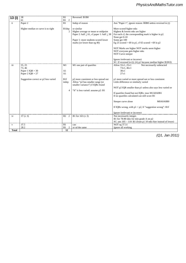| 13 (i)       | 38                                                                                                  | B1                                                                      | Reversed: B1B0                                                                                                                                                                                             |                                                                                                                                                                                                                                                                                                                                                                                                                                                                                                                                                                       |
|--------------|-----------------------------------------------------------------------------------------------------|-------------------------------------------------------------------------|------------------------------------------------------------------------------------------------------------------------------------------------------------------------------------------------------------|-----------------------------------------------------------------------------------------------------------------------------------------------------------------------------------------------------------------------------------------------------------------------------------------------------------------------------------------------------------------------------------------------------------------------------------------------------------------------------------------------------------------------------------------------------------------------|
|              | 61                                                                                                  | B1 2                                                                    |                                                                                                                                                                                                            |                                                                                                                                                                                                                                                                                                                                                                                                                                                                                                                                                                       |
| ii           | Paper 2                                                                                             | B1                                                                      | Indep of reason                                                                                                                                                                                            | Ans "Paper 1", ignore reason: B0B0 unless reversed in (i)                                                                                                                                                                                                                                                                                                                                                                                                                                                                                                             |
|              | Higher median or curve is to right                                                                  | B1dep<br>2                                                              | or similar<br>Higher average or mean or midpoint<br>Paper 2: half $\leq 61$ , cf paper 1: half $\leq 38$<br>Paper 1: more students scored lower<br>marks (or lower than eg 40)                             | More scored higher mks<br>Highest & lowest mks are higher<br>For each cf, the corresponding mark is higher in p2.<br>None get 0-10<br>Some get 100<br>Eg 25 scored $> 69$ in p1, cf 65 scored $> 69$ in p2<br>NOT Marks are higher NOT marks seem higher<br>NOT everyone gets higher mks<br>NOT Curve steeper<br>Ignore irrelevant or incorrect                                                                                                                                                                                                                       |
| iii          | 55, 25<br>73.46<br>Paper 1 $IQR = 30$<br>Paper 2 $IQR = 27$<br>Suggestion correct or p2 less varied | M1<br>A <sub>1</sub><br>A <sub>1</sub><br>B <sub>1f</sub><br>indep<br>4 | M1 one pair of quartiles<br>p2 more consistent or less spread out<br>Allow "p2 has smaller range (or<br>smaller variance") if IQRs found<br>"It" is less varied: assume p2: B1<br>physicsandmathstutor.com | SC: If reversed in (i): (ii) p1 because median higher B1B1ft<br>Not necessarily subtracted<br>Allow $55\pm1, 25\pm1$<br>$73 \pm 1.46 \pm 1$<br>$30\pm1$<br>$27+1$<br>p1 more varied or more spread out or less consistent<br>Little difference or similarly varied<br>NOT p2 IQR smaller than p1 unless also says less varied oe<br>If quartiles found but not IQRs: max M1A0A0B1<br>If no quartiles calculated can still score B1<br>Steeper curve alone<br>M0A0A0B0<br>If IQRs wrong, with $p1 < p2$ , ft "suggestion wrong": B1f<br>Ignore irrelevant or incorrect |
| iv           | $37 (\pm 3)$                                                                                        | B <sub>2</sub> 2                                                        | B1 for 163 $(\pm 3)$                                                                                                                                                                                       | Not necessarily integer.<br>B1 for 78-80 mks for min grade A on p2<br>SC: ans $105 - 110$ : B1 (from p1 10 mks hier instead of lower)                                                                                                                                                                                                                                                                                                                                                                                                                                 |
| $\mathbf{V}$ | 37.5                                                                                                | B1                                                                      | cao                                                                                                                                                                                                        | NOT eg 37.51                                                                                                                                                                                                                                                                                                                                                                                                                                                                                                                                                          |
|              | 28.2                                                                                                | B1<br>2                                                                 | or sd the same                                                                                                                                                                                             | Ignore all working                                                                                                                                                                                                                                                                                                                                                                                                                                                                                                                                                    |
| Total        |                                                                                                     | 12                                                                      |                                                                                                                                                                                                            |                                                                                                                                                                                                                                                                                                                                                                                                                                                                                                                                                                       |

SC:Consistent 0.8 insted of 0.2, no A-marks: max M0M2M2M2 *(Q1, Jan 2011)*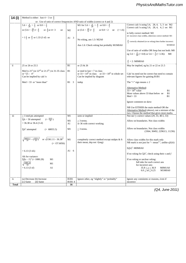| 14 (i)       | Method is either: Just 4 $\div$ 3 or $\frac{4}{3}$                                                                                          |                                |                                                                                                                                                         |                                                                                                                                                                                                                                                                                                                                 |  |  |  |
|--------------|---------------------------------------------------------------------------------------------------------------------------------------------|--------------------------------|---------------------------------------------------------------------------------------------------------------------------------------------------------|---------------------------------------------------------------------------------------------------------------------------------------------------------------------------------------------------------------------------------------------------------------------------------------------------------------------------------|--|--|--|
|              | or: Use of ratio of correct frequencies AND ratio of widths (correct or 4 and 2)                                                            |                                |                                                                                                                                                         |                                                                                                                                                                                                                                                                                                                                 |  |  |  |
|              | $5.6 \times \frac{4}{28} \times \frac{5}{3}$ or $0.8 \times \frac{5}{3}$                                                                    |                                | M1 for $5.6 \times \frac{4}{28} \times \frac{4}{2}$ or $0.8 \times \frac{4}{2}$                                                                         | Correct calc'n using 5.6, 28, 4, 5, 3 oe: M2<br>Correct calc'n using 5.6, 28, 4, 4, 2 oe: M1                                                                                                                                                                                                                                    |  |  |  |
|              | or $(5.6 \div \frac{28}{5}) \times \frac{4}{3}$ or $\frac{4}{3}$ or $4 \div 3$<br>oe<br>$= 1\frac{1}{3}$ or $\frac{4}{3}$ or 1.33 (3 sf) oe | M <sub>2</sub><br>$A1 \quad 3$ | or $(5.6 \div \frac{28}{4}) \times \frac{4}{2}$ or $0.8 \times 2$ oe (= 1.6)<br>No wking, ans 1.3: M2A0<br>Ans 1.6: Check wking but probably M1M0A0     | ie fully correct method: M2<br>or: incorrect class widths, otherwise correct method: M1<br>$\frac{4}{3}$ correctly obtained (or no wking) then further incorrect:<br>M1M0A0<br>Use of ratio of widths OR freqs but not both: M0<br>eg 5.6 $\times \frac{4}{28}$ (= 0.8) or 5.6 $\times \frac{3}{5}$ (= 3.36):<br>M <sub>0</sub> |  |  |  |
|              |                                                                                                                                             |                                |                                                                                                                                                         | $\frac{4}{2}$ = 2: M0M0A0                                                                                                                                                                                                                                                                                                       |  |  |  |
| ii           | 25 or 26 or 25.5                                                                                                                            | B1                             | or 25 & 26                                                                                                                                              | May be implied, eg by 21 or 22 or 21.5                                                                                                                                                                                                                                                                                          |  |  |  |
|              | Med is $21st$ (or $22nd$ or $21.5th$ ) in 31-35 class<br>or "25 - 4"<br>Can be implied by calc'n                                            | B1                             | or med in last $\approx$ 7 in class<br>or $33 \approx 14^{\text{th}}$ in class or $33 \approx 18^{\text{th}}$ in whole set<br>Can be implied by diagram | Calc'ns need not be correct but need to contain<br>relevant figures for gaining B1B1                                                                                                                                                                                                                                            |  |  |  |
|              | $Med > 33$ or "more than"                                                                                                                   | B1 3                           | indep                                                                                                                                                   | The " $\approx$ " sign means $\pm 2$                                                                                                                                                                                                                                                                                            |  |  |  |
|              |                                                                                                                                             |                                |                                                                                                                                                         | Alternative Method:<br>$33 \approx 18^{th}$ value<br>B1<br>More values above 33 than below oe<br>B1<br>B1<br>Med > 33<br>Ignore comment on skew                                                                                                                                                                                 |  |  |  |
|              |                                                                                                                                             |                                | physicsandmathstutor.com                                                                                                                                | NB Use EITHER the main method OR the<br>Alternative Method (above), not a mixture of the<br>two. Choose the method that gives most marks.                                                                                                                                                                                       |  |  |  |
| iii          | $\geq$ 3 mid-pts attempted                                                                                                                  | M1                             | seen or implied                                                                                                                                         | Not nec'y correct values (29, 33, 40.5, 53)                                                                                                                                                                                                                                                                                     |  |  |  |
|              | $\left(=\frac{1819}{50}\right)$<br>$\Sigma f x \div 50$ attempted<br>$=$ 36.38 or 36.4 (3 sf)                                               | M1<br>A1                       | $\geq$ 3 terms.<br>or 36 with correct working                                                                                                           | Allow on boundaries. Not class widths                                                                                                                                                                                                                                                                                           |  |  |  |
|              | $\Sigma f x^2$ attempted<br>$(= 68055.5)$                                                                                                   | M1                             | $\geq$ 3 terms.                                                                                                                                         | Allow on boundaries. Not class widths<br>(3364, 30492, 22963.5, 11236)                                                                                                                                                                                                                                                          |  |  |  |
|              | $\sqrt{\frac{68055.5}{50} - (\frac{1819}{50})^2}$ or $\sqrt{1361.11 - 36.38^2}$<br>$(=\sqrt{37.6056})$                                      | M1                             | completely correct method except midpts & ft<br>their mean, dep not $\sqrt{(neg)}$                                                                      | Allow class widths for this mark only<br>NB mark is not just for " $-$ mean <sup>2</sup> ", unlike $q5(iii)$                                                                                                                                                                                                                    |  |  |  |
|              | $= 6.13(3$ sfs)                                                                                                                             | A1<br>- 6                      |                                                                                                                                                         | $\Sigma(fx)^2$ : MOMOAO<br>If no wking for $\Sigma f x^2$ , check using their x and f                                                                                                                                                                                                                                           |  |  |  |
|              | Alt for variance:<br>$\Sigma f(x - \bar{x})^2$ (= 1880.28)<br>M1                                                                            |                                |                                                                                                                                                         | If no wking or unclear wking:                                                                                                                                                                                                                                                                                                   |  |  |  |
|              | 1880.28<br>M1<br>V<br>50<br>$= 6.13(3 sf)$<br>A1                                                                                            |                                |                                                                                                                                                         | full mks for each correct ans<br>for incorrect ans:<br>$35.8 \le \mu \le 36.9$<br>M0M1A0<br>$6.0 \le sd \le 6.25$<br>M1M0A0                                                                                                                                                                                                     |  |  |  |
| iv           | (a) Decrease (b) Increase                                                                                                                   | B <sub>1</sub> B <sub>1</sub>  | Ignore other, eg "slightly" or "probably"                                                                                                               | Ignore any comments or reasons, even if                                                                                                                                                                                                                                                                                         |  |  |  |
|              | $(c)$ Same<br>(d) Same                                                                                                                      | B1B14                          |                                                                                                                                                         | incorrect                                                                                                                                                                                                                                                                                                                       |  |  |  |
| <b>Total</b> |                                                                                                                                             | 16                             |                                                                                                                                                         |                                                                                                                                                                                                                                                                                                                                 |  |  |  |

B1 for 4 correct probs anywhere Allow B2 with missing labels but only if probs *(Q4, June 2011)*